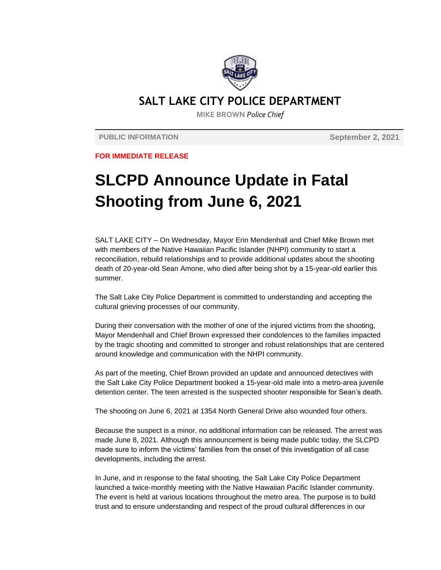

## **SALT LAKE CITY POLICE DEPARTMENT**

**MIKE BROWN** *Police Chief*

**PUBLIC INFORMATION September 2, 2021**

**FOR IMMEDIATE RELEASE**

## **SLCPD Announce Update in Fatal Shooting from June 6, 2021**

SALT LAKE CITY – On Wednesday, Mayor Erin Mendenhall and Chief Mike Brown met with members of the Native Hawaiian Pacific Islander (NHPI) community to start a reconciliation, rebuild relationships and to provide additional updates about the shooting death of 20-year-old Sean Amone, who died after being shot by a 15-year-old earlier this summer.

The Salt Lake City Police Department is committed to understanding and accepting the cultural grieving processes of our community.

During their conversation with the mother of one of the injured victims from the shooting, Mayor Mendenhall and Chief Brown expressed their condolences to the families impacted by the tragic shooting and committed to stronger and robust relationships that are centered around knowledge and communication with the NHPI community.

As part of the meeting, Chief Brown provided an update and announced detectives with the Salt Lake City Police Department booked a 15-year-old male into a metro-area juvenile detention center. The teen arrested is the suspected shooter responsible for Sean's death.

The shooting on June 6, 2021 at 1354 North General Drive also wounded four others.

Because the suspect is a minor, no additional information can be released. The arrest was made June 8, 2021. Although this announcement is being made public today, the SLCPD made sure to inform the victims' families from the onset of this investigation of all case developments, including the arrest.

In June, and in response to the fatal shooting, the Salt Lake City Police Department launched a twice-monthly meeting with the Native Hawaiian Pacific Islander community. The event is held at various locations throughout the metro area. The purpose is to build trust and to ensure understanding and respect of the proud cultural differences in our